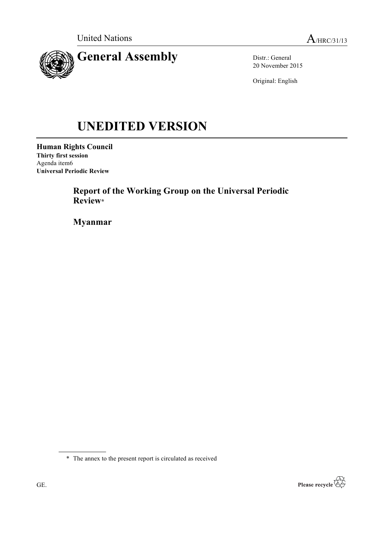

Distr.: General 20 November 2015

Original: English

# **UNEDITED VERSION**

**Human Rights Council Thirty first session** Agenda item6 **Universal Periodic Review**

> **Report of the Working Group on the Universal Periodic Review\***

**Myanmar**

\* The annex to the present report is circulated as received

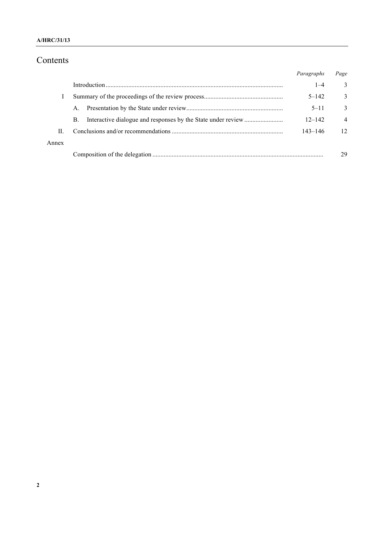### **A/HRC/31/13**

# Contents

|       |    | Paragraphs  | Page           |
|-------|----|-------------|----------------|
|       |    | $1 - 4$     | 3              |
|       |    | $5 - 142$   | 3              |
|       | A. | $5 - 11$    | 3              |
|       | B. | $12 - 142$  | $\overline{4}$ |
| П.    |    | $143 - 146$ | 12             |
| Annex |    |             |                |
|       |    |             | 29             |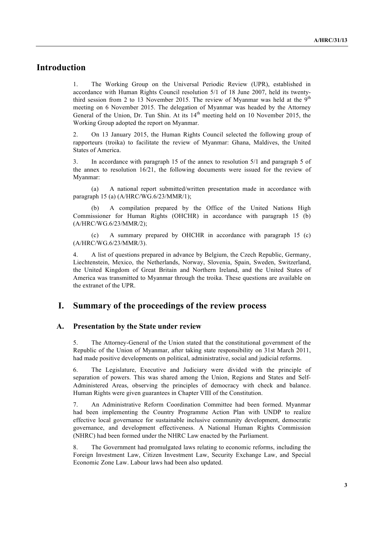# **Introduction**

1. The Working Group on the Universal Periodic Review (UPR), established in accordance with Human Rights Council resolution 5/1 of 18 June 2007, held its twentythird session from 2 to 13 November 2015. The review of Myanmar was held at the  $9<sup>th</sup>$ meeting on 6 November 2015. The delegation of Myanmar was headed by the Attorney General of the Union, Dr. Tun Shin. At its 14<sup>th</sup> meeting held on 10 November 2015, the Working Group adopted the report on Myanmar.

2. On 13 January 2015, the Human Rights Council selected the following group of rapporteurs (troika) to facilitate the review of Myanmar: Ghana, Maldives, the United States of America.

3. In accordance with paragraph 15 of the annex to resolution 5/1 and paragraph 5 of the annex to resolution 16/21, the following documents were issued for the review of Myanmar:

(a) A national report submitted/written presentation made in accordance with paragraph 15 (a) (A/HRC/WG.6/23/MMR/1);

A compilation prepared by the Office of the United Nations High Commissioner for Human Rights (OHCHR) in accordance with paragraph 15 (b) (A/HRC/WG.6/23/MMR/2);

(c) A summary prepared by OHCHR in accordance with paragraph 15 (c) (A/HRC/WG.6/23/MMR/3).

4. A list of questions prepared in advance by Belgium, the Czech Republic, Germany, Liechtenstein, Mexico, the Netherlands, Norway, Slovenia, Spain, Sweden, Switzerland, the United Kingdom of Great Britain and Northern Ireland, and the United States of America was transmitted to Myanmar through the troika. These questions are available on the extranet of the UPR.

## **I. Summary of the proceedings of the review process**

#### **A. Presentation by the State under review**

5. The Attorney-General of the Union stated that the constitutional government of the Republic of the Union of Myanmar, after taking state responsibility on 31st March 2011, had made positive developments on political, administrative, social and judicial reforms.

6. The Legislature, Executive and Judiciary were divided with the principle of separation of powers. This was shared among the Union, Regions and States and Self-Administered Areas, observing the principles of democracy with check and balance. Human Rights were given guarantees in Chapter VIII of the Constitution.

7. An Administrative Reform Coordination Committee had been formed. Myanmar had been implementing the Country Programme Action Plan with UNDP to realize effective local governance for sustainable inclusive community development, democratic governance, and development effectiveness. A National Human Rights Commission (NHRC) had been formed under the NHRC Law enacted by the Parliament.

8. The Government had promulgated laws relating to economic reforms, including the Foreign Investment Law, Citizen Investment Law, Security Exchange Law, and Special Economic Zone Law. Labour laws had been also updated.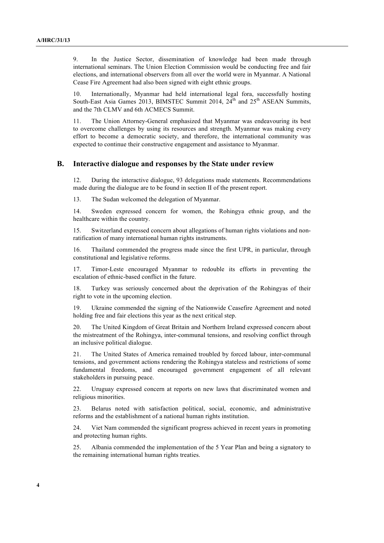9. In the Justice Sector, dissemination of knowledge had been made through international seminars. The Union Election Commission would be conducting free and fair elections, and international observers from all over the world were in Myanmar. A National Cease Fire Agreement had also been signed with eight ethnic groups.

10. Internationally, Myanmar had held international legal fora, successfully hosting South-East Asia Games 2013, BIMSTEC Summit 2014,  $24<sup>th</sup>$  and  $25<sup>th</sup>$  ASEAN Summits, and the 7th CLMV and 6th ACMECS Summit.

11. The Union Attorney-General emphasized that Myanmar was endeavouring its best to overcome challenges by using its resources and strength. Myanmar was making every effort to become a democratic society, and therefore, the international community was expected to continue their constructive engagement and assistance to Myanmar.

#### **B. Interactive dialogue and responses by the State under review**

12. During the interactive dialogue, 93 delegations made statements. Recommendations made during the dialogue are to be found in section II of the present report.

13. The Sudan welcomed the delegation of Myanmar.

14. Sweden expressed concern for women, the Rohingya ethnic group, and the healthcare within the country.

15. Switzerland expressed concern about allegations of human rights violations and nonratification of many international human rights instruments.

16. Thailand commended the progress made since the first UPR, in particular, through constitutional and legislative reforms.

17. Timor-Leste encouraged Myanmar to redouble its efforts in preventing the escalation of ethnic-based conflict in the future.

18. Turkey was seriously concerned about the deprivation of the Rohingyas of their right to vote in the upcoming election.

19. Ukraine commended the signing of the Nationwide Ceasefire Agreement and noted holding free and fair elections this year as the next critical step.

20. The United Kingdom of Great Britain and Northern Ireland expressed concern about the mistreatment of the Rohingya, inter-communal tensions, and resolving conflict through an inclusive political dialogue.

21. The United States of America remained troubled by forced labour, inter-communal tensions, and government actions rendering the Rohingya stateless and restrictions of some fundamental freedoms, and encouraged government engagement of all relevant stakeholders in pursuing peace.

22. Uruguay expressed concern at reports on new laws that discriminated women and religious minorities.

23. Belarus noted with satisfaction political, social, economic, and administrative reforms and the establishment of a national human rights institution.

24. Viet Nam commended the significant progress achieved in recent years in promoting and protecting human rights.

25. Albania commended the implementation of the 5 Year Plan and being a signatory to the remaining international human rights treaties.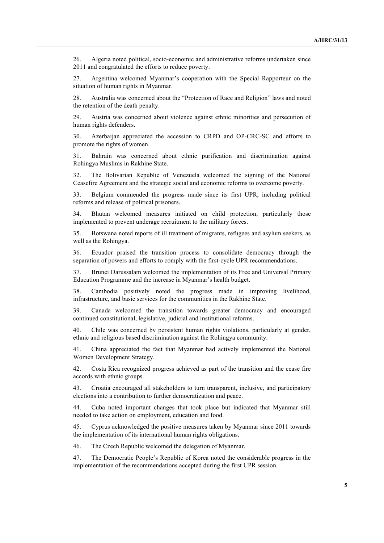26. Algeria noted political, socio-economic and administrative reforms undertaken since 2011 and congratulated the efforts to reduce poverty.

27. Argentina welcomed Myanmar's cooperation with the Special Rapporteur on the situation of human rights in Myanmar.

28. Australia was concerned about the "Protection of Race and Religion" laws and noted the retention of the death penalty.

29. Austria was concerned about violence against ethnic minorities and persecution of human rights defenders.

30. Azerbaijan appreciated the accession to CRPD and OP-CRC-SC and efforts to promote the rights of women.

31. Bahrain was concerned about ethnic purification and discrimination against Rohingya Muslims in Rakhine State.

32. The Bolivarian Republic of Venezuela welcomed the signing of the National Ceasefire Agreement and the strategic social and economic reforms to overcome poverty.

33. Belgium commended the progress made since its first UPR, including political reforms and release of political prisoners.

34. Bhutan welcomed measures initiated on child protection, particularly those implemented to prevent underage recruitment to the military forces.

35. Botswana noted reports of ill treatment of migrants, refugees and asylum seekers, as well as the Rohingya.

36. Ecuador praised the transition process to consolidate democracy through the separation of powers and efforts to comply with the first-cycle UPR recommendations.

37. Brunei Darussalam welcomed the implementation of its Free and Universal Primary Education Programme and the increase in Myanmar's health budget.

38. Cambodia positively noted the progress made in improving livelihood, infrastructure, and basic services for the communities in the Rakhine State.

39. Canada welcomed the transition towards greater democracy and encouraged continued constitutional, legislative, judicial and institutional reforms.

40. Chile was concerned by persistent human rights violations, particularly at gender, ethnic and religious based discrimination against the Rohingya community.

41. China appreciated the fact that Myanmar had actively implemented the National Women Development Strategy.

42. Costa Rica recognized progress achieved as part of the transition and the cease fire accords with ethnic groups.

43. Croatia encouraged all stakeholders to turn transparent, inclusive, and participatory elections into a contribution to further democratization and peace.

44. Cuba noted important changes that took place but indicated that Myanmar still needed to take action on employment, education and food.

45. Cyprus acknowledged the positive measures taken by Myanmar since 2011 towards the implementation of its international human rights obligations.

46. The Czech Republic welcomed the delegation of Myanmar.

47. The Democratic People's Republic of Korea noted the considerable progress in the implementation of the recommendations accepted during the first UPR session.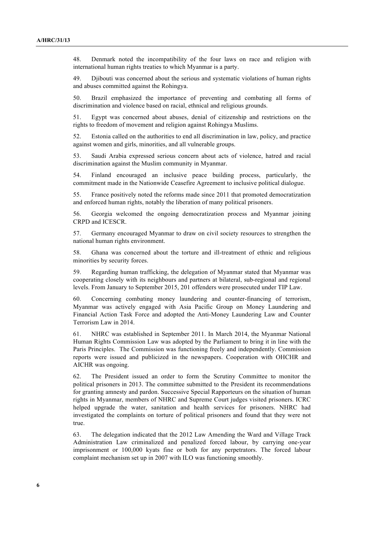48. Denmark noted the incompatibility of the four laws on race and religion with international human rights treaties to which Myanmar is a party.

49. Djibouti was concerned about the serious and systematic violations of human rights and abuses committed against the Rohingya.

50. Brazil emphasized the importance of preventing and combating all forms of discrimination and violence based on racial, ethnical and religious grounds.

51. Egypt was concerned about abuses, denial of citizenship and restrictions on the rights to freedom of movement and religion against Rohingya Muslims.

52. Estonia called on the authorities to end all discrimination in law, policy, and practice against women and girls, minorities, and all vulnerable groups.

53. Saudi Arabia expressed serious concern about acts of violence, hatred and racial discrimination against the Muslim community in Myanmar.

54. Finland encouraged an inclusive peace building process, particularly, the commitment made in the Nationwide Ceasefire Agreement to inclusive political dialogue.

55. France positively noted the reforms made since 2011 that promoted democratization and enforced human rights, notably the liberation of many political prisoners.

56. Georgia welcomed the ongoing democratization process and Myanmar joining CRPD and ICESCR.

57. Germany encouraged Myanmar to draw on civil society resources to strengthen the national human rights environment.

58. Ghana was concerned about the torture and ill-treatment of ethnic and religious minorities by security forces.

59. Regarding human trafficking, the delegation of Myanmar stated that Myanmar was cooperating closely with its neighbours and partners at bilateral, sub-regional and regional levels. From January to September 2015, 201 offenders were prosecuted under TIP Law.

60. Concerning combating money laundering and counter-financing of terrorism, Myanmar was actively engaged with Asia Pacific Group on Money Laundering and Financial Action Task Force and adopted the Anti-Money Laundering Law and Counter Terrorism Law in 2014.

61. NHRC was established in September 2011. In March 2014, the Myanmar National Human Rights Commission Law was adopted by the Parliament to bring it in line with the Paris Principles. The Commission was functioning freely and independently. Commission reports were issued and publicized in the newspapers. Cooperation with OHCHR and AICHR was ongoing.

62. The President issued an order to form the Scrutiny Committee to monitor the political prisoners in 2013. The committee submitted to the President its recommendations for granting amnesty and pardon. Successive Special Rapporteurs on the situation of human rights in Myanmar, members of NHRC and Supreme Court judges visited prisoners. ICRC helped upgrade the water, sanitation and health services for prisoners. NHRC had investigated the complaints on torture of political prisoners and found that they were not true.

63. The delegation indicated that the 2012 Law Amending the Ward and Village Track Administration Law criminalized and penalized forced labour, by carrying one-year imprisonment or 100,000 kyats fine or both for any perpetrators. The forced labour complaint mechanism set up in 2007 with ILO was functioning smoothly.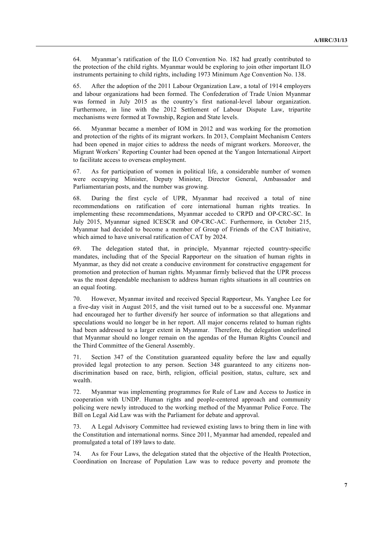64. Myanmar's ratification of the ILO Convention No. 182 had greatly contributed to the protection of the child rights. Myanmar would be exploring to join other important ILO instruments pertaining to child rights, including 1973 Minimum Age Convention No. 138.

65. After the adoption of the 2011 Labour Organization Law, a total of 1914 employers and labour organizations had been formed. The Confederation of Trade Union Myanmar was formed in July 2015 as the country's first national-level labour organization. Furthermore, in line with the 2012 Settlement of Labour Dispute Law, tripartite mechanisms were formed at Township, Region and State levels.

66. Myanmar became a member of IOM in 2012 and was working for the promotion and protection of the rights of its migrant workers. In 2013, Complaint Mechanism Centers had been opened in major cities to address the needs of migrant workers. Moreover, the Migrant Workers' Reporting Counter had been opened at the Yangon International Airport to facilitate access to overseas employment.

67. As for participation of women in political life, a considerable number of women were occupying Minister, Deputy Minister, Director General, Ambassador and Parliamentarian posts, and the number was growing.

68. During the first cycle of UPR, Myanmar had received a total of nine recommendations on ratification of core international human rights treaties. In implementing these recommendations, Myanmar acceded to CRPD and OP-CRC-SC. In July 2015, Myanmar signed ICESCR and OP-CRC-AC. Furthermore, in October 215, Myanmar had decided to become a member of Group of Friends of the CAT Initiative, which aimed to have universal ratification of CAT by 2024.

69. The delegation stated that, in principle, Myanmar rejected country-specific mandates, including that of the Special Rapporteur on the situation of human rights in Myanmar, as they did not create a conducive environment for constructive engagement for promotion and protection of human rights. Myanmar firmly believed that the UPR process was the most dependable mechanism to address human rights situations in all countries on an equal footing.

70. However, Myanmar invited and received Special Rapporteur, Ms. Yanghee Lee for a five-day visit in August 2015, and the visit turned out to be a successful one. Myanmar had encouraged her to further diversify her source of information so that allegations and speculations would no longer be in her report. All major concerns related to human rights had been addressed to a larger extent in Myanmar. Therefore, the delegation underlined that Myanmar should no longer remain on the agendas of the Human Rights Council and the Third Committee of the General Assembly.

71. Section 347 of the Constitution guaranteed equality before the law and equally provided legal protection to any person. Section 348 guaranteed to any citizens nondiscrimination based on race, birth, religion, official position, status, culture, sex and wealth.

72. Myanmar was implementing programmes for Rule of Law and Access to Justice in cooperation with UNDP. Human rights and people-centered approach and community policing were newly introduced to the working method of the Myanmar Police Force. The Bill on Legal Aid Law was with the Parliament for debate and approval.

73. A Legal Advisory Committee had reviewed existing laws to bring them in line with the Constitution and international norms. Since 2011, Myanmar had amended, repealed and promulgated a total of 189 laws to date.

74. As for Four Laws, the delegation stated that the objective of the Health Protection, Coordination on Increase of Population Law was to reduce poverty and promote the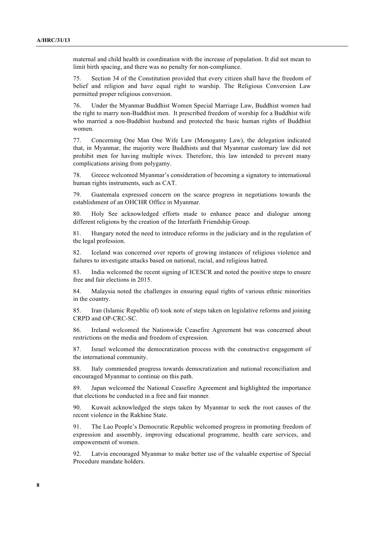maternal and child health in coordination with the increase of population. It did not mean to limit birth spacing, and there was no penalty for non-compliance.

75. Section 34 of the Constitution provided that every citizen shall have the freedom of belief and religion and have equal right to warship. The Religious Conversion Law permitted proper religious conversion.

76. Under the Myanmar Buddhist Women Special Marriage Law, Buddhist women had the right to marry non-Buddhist men. It prescribed freedom of worship for a Buddhist wife who married a non-Buddhist husband and protected the basic human rights of Buddhist women.

77. Concerning One Man One Wife Law (Monogamy Law), the delegation indicated that, in Myanmar, the majority were Buddhists and that Myanmar customary law did not prohibit men for having multiple wives. Therefore, this law intended to prevent many complications arising from polygamy.

78. Greece welcomed Myanmar's consideration of becoming a signatory to international human rights instruments, such as CAT.

79. Guatemala expressed concern on the scarce progress in negotiations towards the establishment of an OHCHR Office in Myanmar.

80. Holy See acknowledged efforts made to enhance peace and dialogue among different religions by the creation of the Interfaith Friendship Group.

81. Hungary noted the need to introduce reforms in the judiciary and in the regulation of the legal profession.

82. Iceland was concerned over reports of growing instances of religious violence and failures to investigate attacks based on national, racial, and religious hatred.

83. India welcomed the recent signing of ICESCR and noted the positive steps to ensure free and fair elections in 2015.

84. Malaysia noted the challenges in ensuring equal rights of various ethnic minorities in the country.

85. Iran (Islamic Republic of) took note of steps taken on legislative reforms and joining CRPD and OP-CRC-SC.

86. Ireland welcomed the Nationwide Ceasefire Agreement but was concerned about restrictions on the media and freedom of expression.

87. Israel welcomed the democratization process with the constructive engagement of the international community.

88. Italy commended progress towards democratization and national reconciliation and encouraged Myanmar to continue on this path.

89. Japan welcomed the National Ceasefire Agreement and highlighted the importance that elections be conducted in a free and fair manner.

90. Kuwait acknowledged the steps taken by Myanmar to seek the root causes of the recent violence in the Rakhine State.

91. The Lao People's Democratic Republic welcomed progress in promoting freedom of expression and assembly, improving educational programme, health care services, and empowerment of women.

92. Latvia encouraged Myanmar to make better use of the valuable expertise of Special Procedure mandate holders.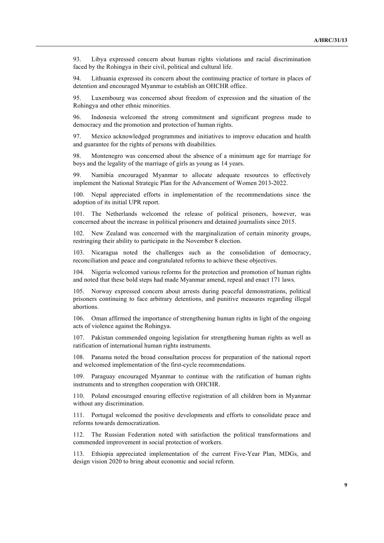93. Libya expressed concern about human rights violations and racial discrimination faced by the Rohingya in their civil, political and cultural life.

94. Lithuania expressed its concern about the continuing practice of torture in places of detention and encouraged Myanmar to establish an OHCHR office.

95. Luxembourg was concerned about freedom of expression and the situation of the Rohingya and other ethnic minorities.

96. Indonesia welcomed the strong commitment and significant progress made to democracy and the promotion and protection of human rights.

97. Mexico acknowledged programmes and initiatives to improve education and health and guarantee for the rights of persons with disabilities.

98. Montenegro was concerned about the absence of a minimum age for marriage for boys and the legality of the marriage of girls as young as 14 years.

99. Namibia encouraged Myanmar to allocate adequate resources to effectively implement the National Strategic Plan for the Advancement of Women 2013-2022.

100. Nepal appreciated efforts in implementation of the recommendations since the adoption of its initial UPR report.

101. The Netherlands welcomed the release of political prisoners, however, was concerned about the increase in political prisoners and detained journalists since 2015.

New Zealand was concerned with the marginalization of certain minority groups, restringing their ability to participate in the November 8 election.

103. Nicaragua noted the challenges such as the consolidation of democracy, reconciliation and peace and congratulated reforms to achieve these objectives.

104. Nigeria welcomed various reforms for the protection and promotion of human rights and noted that these bold steps had made Myanmar amend, repeal and enact 171 laws.

105. Norway expressed concern about arrests during peaceful demonstrations, political prisoners continuing to face arbitrary detentions, and punitive measures regarding illegal abortions.

106. Oman affirmed the importance of strengthening human rights in light of the ongoing acts of violence against the Rohingya.

107. Pakistan commended ongoing legislation for strengthening human rights as well as ratification of international human rights instruments.

108. Panama noted the broad consultation process for preparation of the national report and welcomed implementation of the first-cycle recommendations.

109. Paraguay encouraged Myanmar to continue with the ratification of human rights instruments and to strengthen cooperation with OHCHR.

110. Poland encouraged ensuring effective registration of all children born in Myanmar without any discrimination.

111. Portugal welcomed the positive developments and efforts to consolidate peace and reforms towards democratization.

112. The Russian Federation noted with satisfaction the political transformations and commended improvement in social protection of workers.

113. Ethiopia appreciated implementation of the current Five-Year Plan, MDGs, and design vision 2020 to bring about economic and social reform.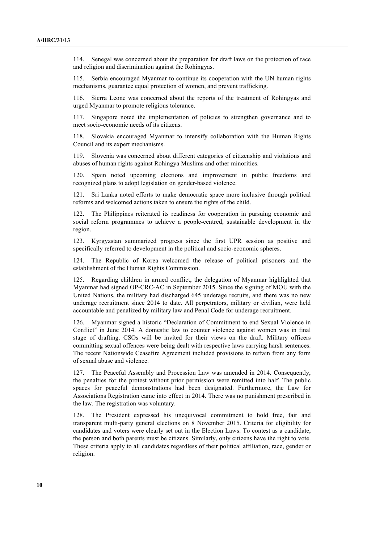114. Senegal was concerned about the preparation for draft laws on the protection of race and religion and discrimination against the Rohingyas.

115. Serbia encouraged Myanmar to continue its cooperation with the UN human rights mechanisms, guarantee equal protection of women, and prevent trafficking.

116. Sierra Leone was concerned about the reports of the treatment of Rohingyas and urged Myanmar to promote religious tolerance.

117. Singapore noted the implementation of policies to strengthen governance and to meet socio-economic needs of its citizens.

118. Slovakia encouraged Myanmar to intensify collaboration with the Human Rights Council and its expert mechanisms.

119. Slovenia was concerned about different categories of citizenship and violations and abuses of human rights against Rohingya Muslims and other minorities.

Spain noted upcoming elections and improvement in public freedoms and recognized plans to adopt legislation on gender-based violence.

121. Sri Lanka noted efforts to make democratic space more inclusive through political reforms and welcomed actions taken to ensure the rights of the child.

122. The Philippines reiterated its readiness for cooperation in pursuing economic and social reform programmes to achieve a people-centred, sustainable development in the region.

123. Kyrgyzstan summarized progress since the first UPR session as positive and specifically referred to development in the political and socio-economic spheres.

124. The Republic of Korea welcomed the release of political prisoners and the establishment of the Human Rights Commission.

125. Regarding children in armed conflict, the delegation of Myanmar highlighted that Myanmar had signed OP-CRC-AC in September 2015. Since the signing of MOU with the United Nations, the military had discharged 645 underage recruits, and there was no new underage recruitment since 2014 to date. All perpetrators, military or civilian, were held accountable and penalized by military law and Penal Code for underage recruitment.

126. Myanmar signed a historic "Declaration of Commitment to end Sexual Violence in Conflict" in June 2014. A domestic law to counter violence against women was in final stage of drafting. CSOs will be invited for their views on the draft. Military officers committing sexual offences were being dealt with respective laws carrying harsh sentences. The recent Nationwide Ceasefire Agreement included provisions to refrain from any form of sexual abuse and violence.

127. The Peaceful Assembly and Procession Law was amended in 2014. Consequently, the penalties for the protest without prior permission were remitted into half. The public spaces for peaceful demonstrations had been designated. Furthermore, the Law for Associations Registration came into effect in 2014. There was no punishment prescribed in the law. The registration was voluntary.

128. The President expressed his unequivocal commitment to hold free, fair and transparent multi-party general elections on 8 November 2015. Criteria for eligibility for candidates and voters were clearly set out in the Election Laws. To contest as a candidate, the person and both parents must be citizens. Similarly, only citizens have the right to vote. These criteria apply to all candidates regardless of their political affiliation, race, gender or religion.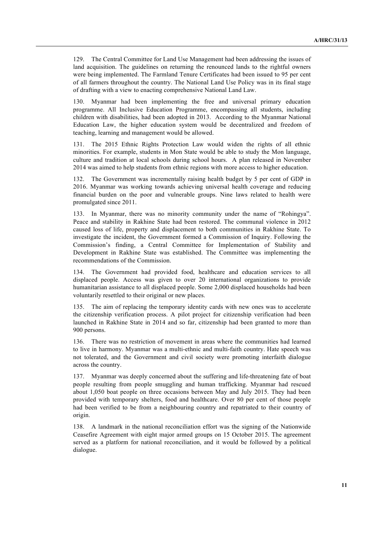129. The Central Committee for Land Use Management had been addressing the issues of land acquisition. The guidelines on returning the renounced lands to the rightful owners were being implemented. The Farmland Tenure Certificates had been issued to 95 per cent of all farmers throughout the country. The National Land Use Policy was in its final stage of drafting with a view to enacting comprehensive National Land Law.

130. Myanmar had been implementing the free and universal primary education programme. All Inclusive Education Programme, encompassing all students, including children with disabilities, had been adopted in 2013. According to the Myanmar National Education Law, the higher education system would be decentralized and freedom of teaching, learning and management would be allowed.

The 2015 Ethnic Rights Protection Law would widen the rights of all ethnic minorities. For example, students in Mon State would be able to study the Mon language, culture and tradition at local schools during school hours. A plan released in November 2014 was aimed to help students from ethnic regions with more access to higher education.

132. The Government was incrementally raising health budget by 5 per cent of GDP in 2016. Myanmar was working towards achieving universal health coverage and reducing financial burden on the poor and vulnerable groups. Nine laws related to health were promulgated since 2011.

133. In Myanmar, there was no minority community under the name of "Rohingya". Peace and stability in Rakhine State had been restored. The communal violence in 2012 caused loss of life, property and displacement to both communities in Rakhine State. To investigate the incident, the Government formed a Commission of Inquiry. Following the Commission's finding, a Central Committee for Implementation of Stability and Development in Rakhine State was established. The Committee was implementing the recommendations of the Commission.

134. The Government had provided food, healthcare and education services to all displaced people. Access was given to over 20 international organizations to provide humanitarian assistance to all displaced people. Some 2,000 displaced households had been voluntarily resettled to their original or new places.

135. The aim of replacing the temporary identity cards with new ones was to accelerate the citizenship verification process. A pilot project for citizenship verification had been launched in Rakhine State in 2014 and so far, citizenship had been granted to more than 900 persons.

136. There was no restriction of movement in areas where the communities had learned to live in harmony. Myanmar was a multi-ethnic and multi-faith country. Hate speech was not tolerated, and the Government and civil society were promoting interfaith dialogue across the country.

137. Myanmar was deeply concerned about the suffering and life-threatening fate of boat people resulting from people smuggling and human trafficking. Myanmar had rescued about 1,050 boat people on three occasions between May and July 2015. They had been provided with temporary shelters, food and healthcare. Over 80 per cent of those people had been verified to be from a neighbouring country and repatriated to their country of origin.

138. A landmark in the national reconciliation effort was the signing of the Nationwide Ceasefire Agreement with eight major armed groups on 15 October 2015. The agreement served as a platform for national reconciliation, and it would be followed by a political dialogue.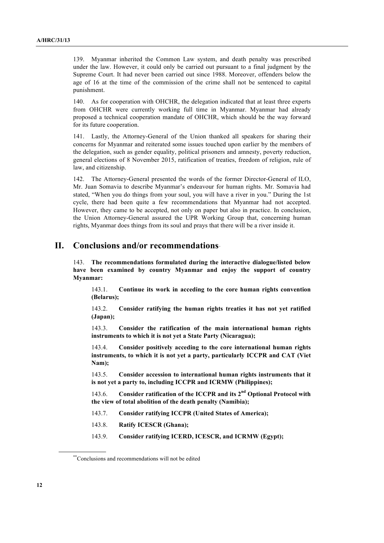139. Myanmar inherited the Common Law system, and death penalty was prescribed under the law. However, it could only be carried out pursuant to a final judgment by the Supreme Court. It had never been carried out since 1988. Moreover, offenders below the age of 16 at the time of the commission of the crime shall not be sentenced to capital punishment.

140. As for cooperation with OHCHR, the delegation indicated that at least three experts from OHCHR were currently working full time in Myanmar. Myanmar had already proposed a technical cooperation mandate of OHCHR, which should be the way forward for its future cooperation.

141. Lastly, the Attorney-General of the Union thanked all speakers for sharing their concerns for Myanmar and reiterated some issues touched upon earlier by the members of the delegation, such as gender equality, political prisoners and amnesty, poverty reduction, general elections of 8 November 2015, ratification of treaties, freedom of religion, rule of law, and citizenship.

142. The Attorney-General presented the words of the former Director-General of ILO, Mr. Juan Somavia to describe Myanmar's endeavour for human rights. Mr. Somavia had stated, "When you do things from your soul, you will have a river in you." During the 1st cycle, there had been quite a few recommendations that Myanmar had not accepted. However, they came to be accepted, not only on paper but also in practice. In conclusion, the Union Attorney-General assured the UPR Working Group that, concerning human rights, Myanmar does things from its soul and prays that there will be a river inside it.

# **II. Conclusions and/or recommendations**∗∗

143. **The recommendations formulated during the interactive dialogue/listed below have been examined by country Myanmar and enjoy the support of country Myanmar:**

143.1. **Continue its work in acceding to the core human rights convention (Belarus);**

143.2. **Consider ratifying the human rights treaties it has not yet ratified (Japan);**

143.3. **Consider the ratification of the main international human rights instruments to which it is not yet a State Party (Nicaragua);**

143.4. **Consider positively acceding to the core international human rights instruments, to which it is not yet a party, particularly ICCPR and CAT (Viet Nam);**

143.5. **Consider accession to international human rights instruments that it is not yet a party to, including ICCPR and ICRMW (Philippines);**

143.6. **Consider ratification of the ICCPR and its 2nd Optional Protocol with the view of total abolition of the death penalty (Namibia);**

- 143.7. **Consider ratifying ICCPR (United States of America);**
- 143.8. **Ratify ICESCR (Ghana);**
- 143.9. **Consider ratifying ICERD, ICESCR, and ICRMW (Egypt);**

<sup>\*\*</sup>Conclusions and recommendations will not be edited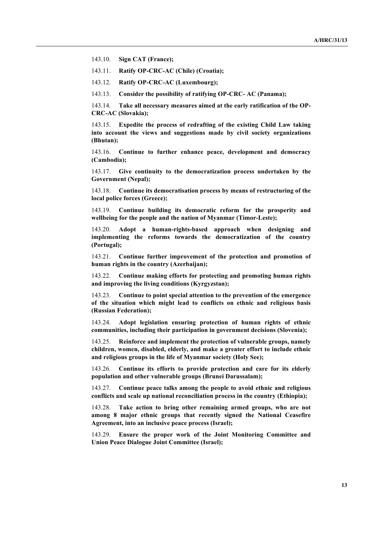143.10. **Sign CAT (France);**

143.11. **Ratify OP-CRC-AC (Chile) (Croatia);**

143.12. **Ratify OP-CRC-AC (Luxembourg);**

143.13. **Consider the possibility of ratifying OP-CRC- AC (Panama);**

143.14. **Take all necessary measures aimed at the early ratification of the OP-CRC-AC (Slovakia);**

143.15. **Expedite the process of redrafting of the existing Child Law taking into account the views and suggestions made by civil society organizations (Bhutan);**

143.16. **Continue to further enhance peace, development and democracy (Cambodia);**

143.17. **Give continuity to the democratization process undertaken by the Government (Nepal);**

143.18. **Continue its democratisation process by means of restructuring of the local police forces (Greece);**

143.19. **Continue building its democratic reform for the prosperity and wellbeing for the people and the nation of Myanmar (Timor-Leste);**

143.20. **Adopt a human-rights-based approach when designing and implementing the reforms towards the democratization of the country (Portugal);**

143.21. **Continue further improvement of the protection and promotion of human rights in the country (Azerbaijan);**

143.22. **Continue making efforts for protecting and promoting human rights and improving the living conditions (Kyrgyzstan);**

143.23. **Continue to point special attention to the prevention of the emergence of the situation which might lead to conflicts on ethnic and religious basis (Russian Federation);**

143.24. **Adopt legislation ensuring protection of human rights of ethnic communities, including their participation in government decisions (Slovenia);**

143.25. **Reinforce and implement the protection of vulnerable groups, namely children, women, disabled, elderly, and make a greater effort to include ethnic and religious groups in the life of Myanmar society (Holy See);**

143.26. **Continue its efforts to provide protection and care for its elderly population and other vulnerable groups (Brunei Darussalam);**

143.27. **Continue peace talks among the people to avoid ethnic and religious conflicts and scale up national reconciliation process in the country (Ethiopia);**

143.28. **Take action to bring other remaining armed groups, who are not among 8 major ethnic groups that recently signed the National Ceasefire Agreement, into an inclusive peace process (Israel);**

143.29. **Ensure the proper work of the Joint Monitoring Committee and Union Peace Dialogue Joint Committee (Israel);**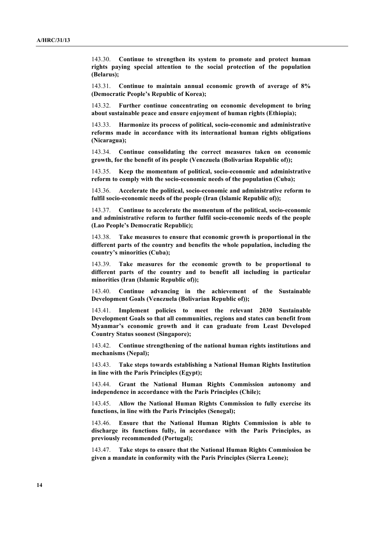143.30. **Continue to strengthen its system to promote and protect human rights paying special attention to the social protection of the population (Belarus);**

143.31. **Continue to maintain annual economic growth of average of 8% (Democratic People's Republic of Korea);**

143.32. **Further continue concentrating on economic development to bring about sustainable peace and ensure enjoyment of human rights (Ethiopia);**

143.33. **Harmonize its process of political, socio-economic and administrative reforms made in accordance with its international human rights obligations (Nicaragua);**

143.34. **Continue consolidating the correct measures taken on economic growth, for the benefit of its people (Venezuela (Bolivarian Republic of));**

143.35. **Keep the momentum of political, socio-economic and administrative reform to comply with the socio-economic needs of the population (Cuba);**

143.36. **Accelerate the political, socio-economic and administrative reform to fulfil socio-economic needs of the people (Iran (Islamic Republic of));**

143.37. **Continue to accelerate the momentum of the political, socio-economic and administrative reform to further fulfil socio-economic needs of the people (Lao People's Democratic Republic);**

143.38. **Take measures to ensure that economic growth is proportional in the different parts of the country and benefits the whole population, including the country's minorities (Cuba);**

143.39. **Take measures for the economic growth to be proportional to different parts of the country and to benefit all including in particular minorities (Iran (Islamic Republic of));**

143.40. **Continue advancing in the achievement of the Sustainable Development Goals (Venezuela (Bolivarian Republic of));**

143.41. **Implement policies to meet the relevant 2030 Sustainable Development Goals so that all communities, regions and states can benefit from Myanmar's economic growth and it can graduate from Least Developed Country Status soonest (Singapore);**

143.42. **Continue strengthening of the national human rights institutions and mechanisms (Nepal);**

143.43. **Take steps towards establishing a National Human Rights Institution in line with the Paris Principles (Egypt);**

143.44. **Grant the National Human Rights Commission autonomy and independence in accordance with the Paris Principles (Chile);**

143.45. **Allow the National Human Rights Commission to fully exercise its functions, in line with the Paris Principles (Senegal);**

143.46. **Ensure that the National Human Rights Commission is able to discharge its functions fully, in accordance with the Paris Principles, as previously recommended (Portugal);**

143.47. **Take steps to ensure that the National Human Rights Commission be given a mandate in conformity with the Paris Principles (Sierra Leone);**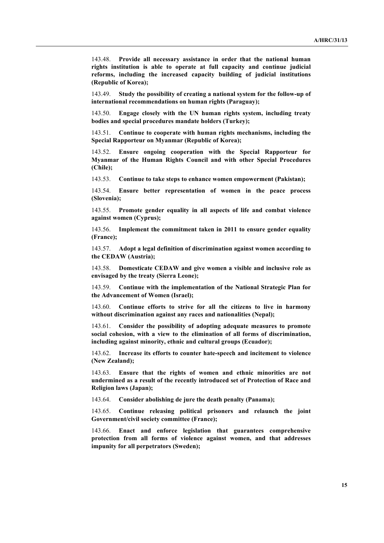143.48. **Provide all necessary assistance in order that the national human rights institution is able to operate at full capacity and continue judicial reforms, including the increased capacity building of judicial institutions (Republic of Korea);**

143.49. **Study the possibility of creating a national system for the follow-up of international recommendations on human rights (Paraguay);**

143.50. **Engage closely with the UN human rights system, including treaty bodies and special procedures mandate holders (Turkey);**

143.51. **Continue to cooperate with human rights mechanisms, including the Special Rapporteur on Myanmar (Republic of Korea);**

143.52. **Ensure ongoing cooperation with the Special Rapporteur for Myanmar of the Human Rights Council and with other Special Procedures (Chile);**

143.53. **Continue to take steps to enhance women empowerment (Pakistan);**

143.54. **Ensure better representation of women in the peace process (Slovenia);**

143.55. **Promote gender equality in all aspects of life and combat violence against women (Cyprus);**

143.56. **Implement the commitment taken in 2011 to ensure gender equality (France);**

143.57. **Adopt a legal definition of discrimination against women according to the CEDAW (Austria);**

143.58. **Domesticate CEDAW and give women a visible and inclusive role as envisaged by the treaty (Sierra Leone);**

143.59. **Continue with the implementation of the National Strategic Plan for the Advancement of Women (Israel);**

143.60. **Continue efforts to strive for all the citizens to live in harmony without discrimination against any races and nationalities (Nepal);**

143.61. **Consider the possibility of adopting adequate measures to promote social cohesion, with a view to the elimination of all forms of discrimination, including against minority, ethnic and cultural groups (Ecuador);**

143.62. **Increase its efforts to counter hate-speech and incitement to violence (New Zealand);**

143.63. **Ensure that the rights of women and ethnic minorities are not undermined as a result of the recently introduced set of Protection of Race and Religion laws (Japan);**

143.64. **Consider abolishing de jure the death penalty (Panama);**

143.65. **Continue releasing political prisoners and relaunch the joint Government/civil society committee (France);**

143.66. **Enact and enforce legislation that guarantees comprehensive protection from all forms of violence against women, and that addresses impunity for all perpetrators (Sweden);**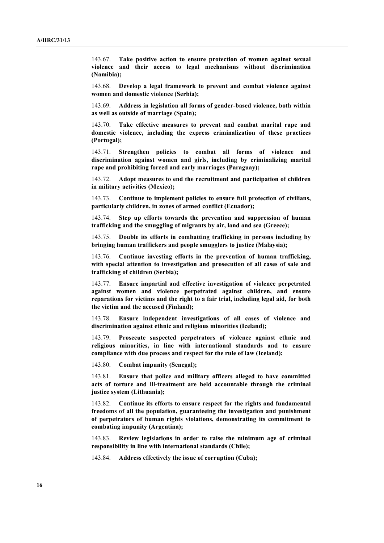143.67. **Take positive action to ensure protection of women against sexual violence and their access to legal mechanisms without discrimination (Namibia);**

143.68. **Develop a legal framework to prevent and combat violence against women and domestic violence (Serbia);**

143.69. **Address in legislation all forms of gender-based violence, both within as well as outside of marriage (Spain);**

143.70. **Take effective measures to prevent and combat marital rape and domestic violence, including the express criminalization of these practices (Portugal);**

143.71. **Strengthen policies to combat all forms of violence and discrimination against women and girls, including by criminalizing marital rape and prohibiting forced and early marriages (Paraguay);**

143.72. **Adopt measures to end the recruitment and participation of children in military activities (Mexico);**

143.73. **Continue to implement policies to ensure full protection of civilians, particularly children, in zones of armed conflict (Ecuador);**

143.74. **Step up efforts towards the prevention and suppression of human trafficking and the smuggling of migrants by air, land and sea (Greece);**

143.75. **Double its efforts in combatting trafficking in persons including by bringing human traffickers and people smugglers to justice (Malaysia);**

143.76. **Continue investing efforts in the prevention of human trafficking, with special attention to investigation and prosecution of all cases of sale and trafficking of children (Serbia);**

143.77. **Ensure impartial and effective investigation of violence perpetrated against women and violence perpetrated against children, and ensure reparations for victims and the right to a fair trial, including legal aid, for both the victim and the accused (Finland);**

143.78. **Ensure independent investigations of all cases of violence and discrimination against ethnic and religious minorities (Iceland);**

143.79. **Prosecute suspected perpetrators of violence against ethnic and religious minorities, in line with international standards and to ensure compliance with due process and respect for the rule of law (Iceland);**

143.80. **Combat impunity (Senegal);**

143.81. **Ensure that police and military officers alleged to have committed acts of torture and ill-treatment are held accountable through the criminal justice system (Lithuania);**

143.82. **Continue its efforts to ensure respect for the rights and fundamental freedoms of all the population, guaranteeing the investigation and punishment of perpetrators of human rights violations, demonstrating its commitment to combating impunity (Argentina);**

143.83. **Review legislations in order to raise the minimum age of criminal responsibility in line with international standards (Chile);**

143.84. **Address effectively the issue of corruption (Cuba);**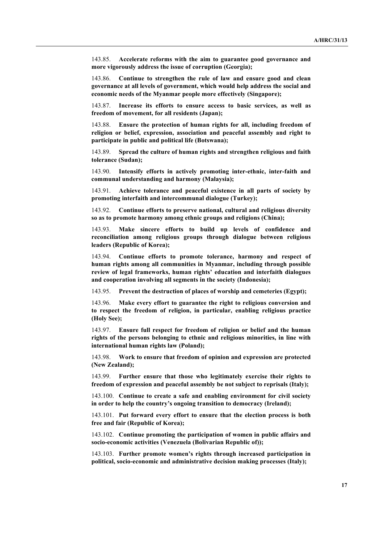143.85. **Accelerate reforms with the aim to guarantee good governance and more vigorously address the issue of corruption (Georgia);**

143.86. **Continue to strengthen the rule of law and ensure good and clean governance at all levels of government, which would help address the social and economic needs of the Myanmar people more effectively (Singapore);**

143.87. **Increase its efforts to ensure access to basic services, as well as freedom of movement, for all residents (Japan);**

143.88. **Ensure the protection of human rights for all, including freedom of religion or belief, expression, association and peaceful assembly and right to participate in public and political life (Botswana);**

143.89. **Spread the culture of human rights and strengthen religious and faith tolerance (Sudan);**

143.90. **Intensify efforts in actively promoting inter-ethnic, inter-faith and communal understanding and harmony (Malaysia);**

143.91. **Achieve tolerance and peaceful existence in all parts of society by promoting interfaith and intercommunal dialogue (Turkey);**

143.92. **Continue efforts to preserve national, cultural and religious diversity so as to promote harmony among ethnic groups and religions (China);**

143.93. **Make sincere efforts to build up levels of confidence and reconciliation among religious groups through dialogue between religious leaders (Republic of Korea);**

143.94. **Continue efforts to promote tolerance, harmony and respect of human rights among all communities in Myanmar, including through possible review of legal frameworks, human rights' education and interfaith dialogues and cooperation involving all segments in the society (Indonesia);**

143.95. **Prevent the destruction of places of worship and cemeteries (Egypt);**

143.96. **Make every effort to guarantee the right to religious conversion and to respect the freedom of religion, in particular, enabling religious practice (Holy See);**

143.97. **Ensure full respect for freedom of religion or belief and the human rights of the persons belonging to ethnic and religious minorities, in line with international human rights law (Poland);**

143.98. **Work to ensure that freedom of opinion and expression are protected (New Zealand);**

143.99. **Further ensure that those who legitimately exercise their rights to freedom of expression and peaceful assembly be not subject to reprisals (Italy);**

143.100. **Continue to create a safe and enabling environment for civil society in order to help the country's ongoing transition to democracy (Ireland);**

143.101. **Put forward every effort to ensure that the election process is both free and fair (Republic of Korea);**

143.102. **Continue promoting the participation of women in public affairs and socio-economic activities (Venezuela (Bolivarian Republic of));**

143.103. **Further promote women's rights through increased participation in political, socio-economic and administrative decision making processes (Italy);**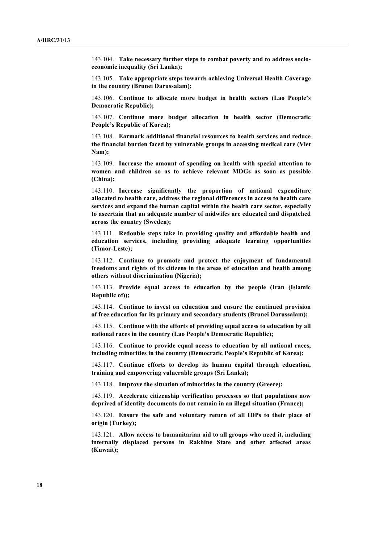143.104. **Take necessary further steps to combat poverty and to address socioeconomic inequality (Sri Lanka);**

143.105. **Take appropriate steps towards achieving Universal Health Coverage in the country (Brunei Darussalam);**

143.106. **Continue to allocate more budget in health sectors (Lao People's Democratic Republic);**

143.107. **Continue more budget allocation in health sector (Democratic People's Republic of Korea);**

143.108. **Earmark additional financial resources to health services and reduce the financial burden faced by vulnerable groups in accessing medical care (Viet Nam);**

143.109. **Increase the amount of spending on health with special attention to women and children so as to achieve relevant MDGs as soon as possible (China);**

143.110. **Increase significantly the proportion of national expenditure allocated to health care, address the regional differences in access to health care services and expand the human capital within the health care sector, especially to ascertain that an adequate number of midwifes are educated and dispatched across the country (Sweden);**

143.111. **Redouble steps take in providing quality and affordable health and education services, including providing adequate learning opportunities (Timor-Leste);**

143.112. **Continue to promote and protect the enjoyment of fundamental freedoms and rights of its citizens in the areas of education and health among others without discrimination (Nigeria);**

143.113. **Provide equal access to education by the people (Iran (Islamic Republic of));**

143.114. **Continue to invest on education and ensure the continued provision of free education for its primary and secondary students (Brunei Darussalam);**

143.115. **Continue with the efforts of providing equal access to education by all national races in the country (Lao People's Democratic Republic);**

143.116. **Continue to provide equal access to education by all national races, including minorities in the country (Democratic People's Republic of Korea);**

143.117. **Continue efforts to develop its human capital through education, training and empowering vulnerable groups (Sri Lanka);**

143.118. **Improve the situation of minorities in the country (Greece);**

143.119. **Accelerate citizenship verification processes so that populations now deprived of identity documents do not remain in an illegal situation (France);**

143.120. **Ensure the safe and voluntary return of all IDPs to their place of origin (Turkey);**

143.121. **Allow access to humanitarian aid to all groups who need it, including internally displaced persons in Rakhine State and other affected areas (Kuwait);**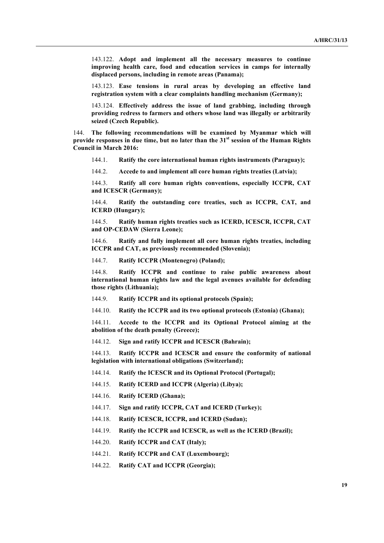143.122. **Adopt and implement all the necessary measures to continue improving health care, food and education services in camps for internally displaced persons, including in remote areas (Panama);**

143.123. **Ease tensions in rural areas by developing an effective land registration system with a clear complaints handling mechanism (Germany);**

143.124. **Effectively address the issue of land grabbing, including through providing redress to farmers and others whose land was illegally or arbitrarily seized (Czech Republic).**

144. **The following recommendations will be examined by Myanmar which will provide responses in due time, but no later than the 31st session of the Human Rights Council in March 2016:**

144.1. **Ratify the core international human rights instruments (Paraguay);**

144.2. **Accede to and implement all core human rights treaties (Latvia);**

144.3. **Ratify all core human rights conventions, especially ICCPR, CAT and ICESCR (Germany);**

144.4. **Ratify the outstanding core treaties, such as ICCPR, CAT, and ICERD (Hungary);**

144.5. **Ratify human rights treaties such as ICERD, ICESCR, ICCPR, CAT and OP-CEDAW (Sierra Leone);**

144.6. **Ratify and fully implement all core human rights treaties, including ICCPR and CAT, as previously recommended (Slovenia);**

144.7. **Ratify ICCPR (Montenegro) (Poland);**

144.8. **Ratify ICCPR and continue to raise public awareness about international human rights law and the legal avenues available for defending those rights (Lithuania);**

144.9. **Ratify ICCPR and its optional protocols (Spain);**

144.10. **Ratify the ICCPR and its two optional protocols (Estonia) (Ghana);**

144.11. **Accede to the ICCPR and its Optional Protocol aiming at the abolition of the death penalty (Greece);**

144.12. **Sign and ratify ICCPR and ICESCR (Bahrain);**

144.13. **Ratify ICCPR and ICESCR and ensure the conformity of national legislation with international obligations (Switzerland);**

- 144.14. **Ratify the ICESCR and its Optional Protocol (Portugal);**
- 144.15. **Ratify ICERD and ICCPR (Algeria) (Libya);**
- 144.16. **Ratify ICERD (Ghana);**
- 144.17. **Sign and ratify ICCPR, CAT and ICERD (Turkey);**
- 144.18. **Ratify ICESCR, ICCPR, and ICERD (Sudan);**
- 144.19. **Ratify the ICCPR and ICESCR, as well as the ICERD (Brazil);**
- 144.20. **Ratify ICCPR and CAT (Italy);**
- 144.21. **Ratify ICCPR and CAT (Luxembourg);**
- 144.22. **Ratify CAT and ICCPR (Georgia);**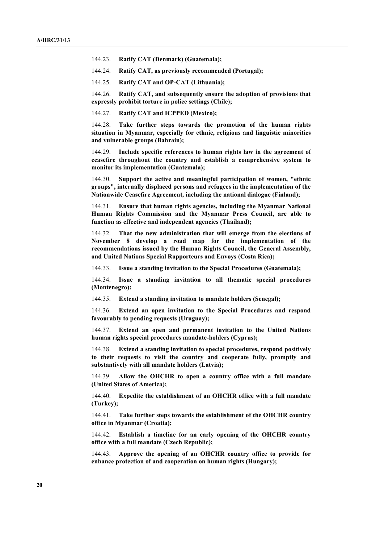144.23. **Ratify CAT (Denmark) (Guatemala);**

144.24. **Ratify CAT, as previously recommended (Portugal);**

144.25. **Ratify CAT and OP-CAT (Lithuania);**

144.26. **Ratify CAT, and subsequently ensure the adoption of provisions that expressly prohibit torture in police settings (Chile);**

144.27. **Ratify CAT and ICPPED (Mexico);**

144.28. **Take further steps towards the promotion of the human rights situation in Myanmar, especially for ethnic, religious and linguistic minorities and vulnerable groups (Bahrain);**

144.29. **Include specific references to human rights law in the agreement of ceasefire throughout the country and establish a comprehensive system to monitor its implementation (Guatemala);**

144.30. **Support the active and meaningful participation of women, "ethnic groups", internally displaced persons and refugees in the implementation of the Nationwide Ceasefire Agreement, including the national dialogue (Finland);**

144.31. **Ensure that human rights agencies, including the Myanmar National Human Rights Commission and the Myanmar Press Council, are able to function as effective and independent agencies (Thailand);**

144.32. **That the new administration that will emerge from the elections of November 8 develop a road map for the implementation of the recommendations issued by the Human Rights Council, the General Assembly, and United Nations Special Rapporteurs and Envoys (Costa Rica);**

144.33. **Issue a standing invitation to the Special Procedures (Guatemala);**

144.34. **Issue a standing invitation to all thematic special procedures (Montenegro);**

144.35. **Extend a standing invitation to mandate holders (Senegal);**

144.36. **Extend an open invitation to the Special Procedures and respond favourably to pending requests (Uruguay);**

144.37. **Extend an open and permanent invitation to the United Nations human rights special procedures mandate-holders (Cyprus);**

144.38. **Extend a standing invitation to special procedures, respond positively to their requests to visit the country and cooperate fully, promptly and substantively with all mandate holders (Latvia);**

144.39. **Allow the OHCHR to open a country office with a full mandate (United States of America);**

144.40. **Expedite the establishment of an OHCHR office with a full mandate (Turkey);**

144.41. **Take further steps towards the establishment of the OHCHR country office in Myanmar (Croatia);**

144.42. **Establish a timeline for an early opening of the OHCHR country office with a full mandate (Czech Republic);**

144.43. **Approve the opening of an OHCHR country office to provide for enhance protection of and cooperation on human rights (Hungary);**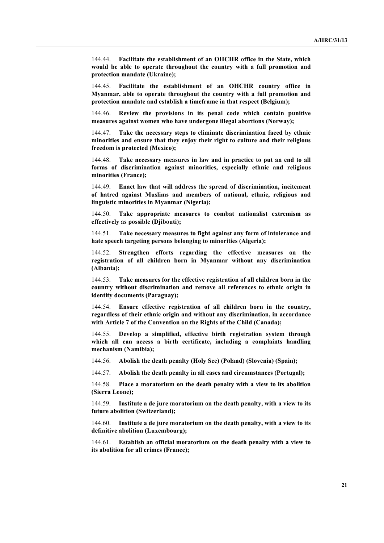144.44. **Facilitate the establishment of an OHCHR office in the State, which would be able to operate throughout the country with a full promotion and protection mandate (Ukraine);**

144.45. **Facilitate the establishment of an OHCHR country office in Myanmar, able to operate throughout the country with a full promotion and protection mandate and establish a timeframe in that respect (Belgium);**

144.46. **Review the provisions in its penal code which contain punitive measures against women who have undergone illegal abortions (Norway);**

144.47. **Take the necessary steps to eliminate discrimination faced by ethnic minorities and ensure that they enjoy their right to culture and their religious freedom is protected (Mexico);**

144.48. **Take necessary measures in law and in practice to put an end to all forms of discrimination against minorities, especially ethnic and religious minorities (France);**

144.49. **Enact law that will address the spread of discrimination, incitement of hatred against Muslims and members of national, ethnic, religious and linguistic minorities in Myanmar (Nigeria);**

144.50. **Take appropriate measures to combat nationalist extremism as effectively as possible (Djibouti);**

144.51. **Take necessary measures to fight against any form of intolerance and hate speech targeting persons belonging to minorities (Algeria);**

144.52. **Strengthen efforts regarding the effective measures on the registration of all children born in Myanmar without any discrimination (Albania);**

144.53. **Take measures for the effective registration of all children born in the country without discrimination and remove all references to ethnic origin in identity documents (Paraguay);**

144.54. **Ensure effective registration of all children born in the country, regardless of their ethnic origin and without any discrimination, in accordance with Article 7 of the Convention on the Rights of the Child (Canada);**

144.55. **Develop a simplified, effective birth registration system through which all can access a birth certificate, including a complaints handling mechanism (Namibia);**

144.56. **Abolish the death penalty (Holy See) (Poland) (Slovenia) (Spain);**

144.57. **Abolish the death penalty in all cases and circumstances (Portugal);**

144.58. **Place a moratorium on the death penalty with a view to its abolition (Sierra Leone);**

144.59. **Institute a de jure moratorium on the death penalty, with a view to its future abolition (Switzerland);**

144.60. **Institute a de jure moratorium on the death penalty, with a view to its definitive abolition (Luxembourg);**

144.61. **Establish an official moratorium on the death penalty with a view to its abolition for all crimes (France);**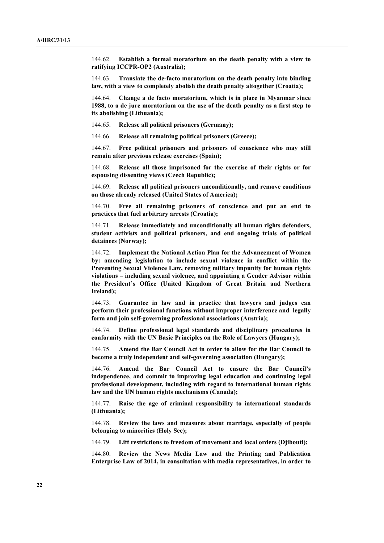144.62. **Establish a formal moratorium on the death penalty with a view to ratifying ICCPR-OP2 (Australia);**

144.63. **Translate the de-facto moratorium on the death penalty into binding law, with a view to completely abolish the death penalty altogether (Croatia);**

144.64. **Change a de facto moratorium, which is in place in Myanmar since 1988, to a de jure moratorium on the use of the death penalty as a first step to its abolishing (Lithuania);**

144.65. **Release all political prisoners (Germany);**

144.66. **Release all remaining political prisoners (Greece);**

144.67. **Free political prisoners and prisoners of conscience who may still remain after previous release exercises (Spain);**

144.68. **Release all those imprisoned for the exercise of their rights or for espousing dissenting views (Czech Republic);**

144.69. **Release all political prisoners unconditionally, and remove conditions on those already released (United States of America);**

144.70. **Free all remaining prisoners of conscience and put an end to practices that fuel arbitrary arrests (Croatia);**

144.71. **Release immediately and unconditionally all human rights defenders, student activists and political prisoners, and end ongoing trials of political detainees (Norway);**

144.72. **Implement the National Action Plan for the Advancement of Women by: amending legislation to include sexual violence in conflict within the Preventing Sexual Violence Law, removing military impunity for human rights violations – including sexual violence, and appointing a Gender Advisor within the President's Office (United Kingdom of Great Britain and Northern Ireland);**

144.73. **Guarantee in law and in practice that lawyers and judges can perform their professional functions without improper interference and legally form and join self-governing professional associations (Austria);**

144.74. **Define professional legal standards and disciplinary procedures in conformity with the UN Basic Principles on the Role of Lawyers (Hungary);**

144.75. **Amend the Bar Council Act in order to allow for the Bar Council to become a truly independent and self-governing association (Hungary);**

144.76. **Amend the Bar Council Act to ensure the Bar Council's independence, and commit to improving legal education and continuing legal professional development, including with regard to international human rights law and the UN human rights mechanisms (Canada);**

144.77. **Raise the age of criminal responsibility to international standards (Lithuania);**

144.78. **Review the laws and measures about marriage, especially of people belonging to minorities (Holy See);**

144.79. **Lift restrictions to freedom of movement and local orders (Djibouti);**

144.80. **Review the News Media Law and the Printing and Publication Enterprise Law of 2014, in consultation with media representatives, in order to**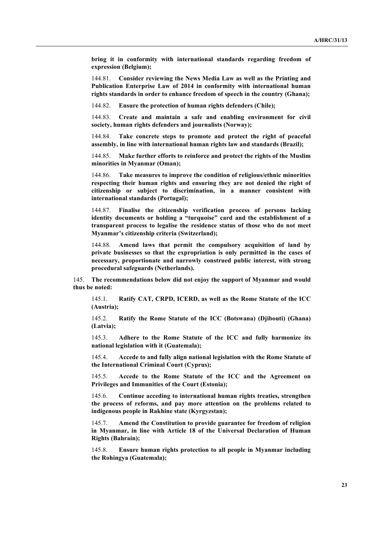**bring it in conformity with international standards regarding freedom of expression (Belgium);**

144.81. **Consider reviewing the News Media Law as well as the Printing and Publication Enterprise Law of 2014 in conformity with international human rights standards in order to enhance freedom of speech in the country (Ghana);**

144.82. **Ensure the protection of human rights defenders (Chile);**

144.83. **Create and maintain a safe and enabling environment for civil society, human rights defenders and journalists (Norway);**

144.84. **Take concrete steps to promote and protect the right of peaceful assembly, in line with international human rights law and standards (Brazil);**

144.85. **Make further efforts to reinforce and protect the rights of the Muslim minorities in Myanmar (Oman);**

144.86. **Take measures to improve the condition of religious/ethnic minorities respecting their human rights and ensuring they are not denied the right of citizenship or subject to discrimination, in a manner consistent with international standards (Portugal);**

144.87. **Finalise the citizenship verification process of persons lacking identity documents or holding a "turquoise" card and the establishment of a transparent process to legalise the residence status of those who do not meet Myanmar's citizenship criteria (Switzerland);**

144.88. **Amend laws that permit the compulsory acquisition of land by private businesses so that the expropriation is only permitted in the cases of necessary, proportionate and narrowly construed public interest, with strong procedural safeguards (Netherlands).**

145. **The recommendations below did not enjoy the support of Myanmar and would thus be noted:**

145.1. **Ratify CAT, CRPD, ICERD, as well as the Rome Statute of the ICC (Austria);**

145.2. **Ratify the Rome Statute of the ICC (Botswana) (Djibouti) (Ghana) (Latvia);**

145.3. **Adhere to the Rome Statute of the ICC and fully harmonize its national legislation with it (Guatemala);**

145.4. **Accede to and fully align national legislation with the Rome Statute of the International Criminal Court (Cyprus);**

145.5. **Accede to the Rome Statute of the ICC and the Agreement on Privileges and Immunities of the Court (Estonia);**

145.6. **Continue acceding to international human rights treaties, strengthen the process of reforms, and pay more attention on the problems related to indigenous people in Rakhine state (Kyrgyzstan);**

145.7. **Amend the Constitution to provide guarantee for freedom of religion in Myanmar, in line with Article 18 of the Universal Declaration of Human Rights (Bahrain);**

145.8. **Ensure human rights protection to all people in Myanmar including the Rohingya (Guatemala);**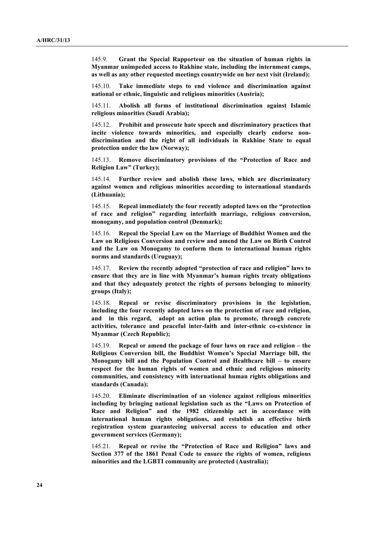145.9. **Grant the Special Rapporteur on the situation of human rights in Myanmar unimpeded access to Rakhine state, including the internment camps, as well as any other requested meetings countrywide on her next visit (Ireland);**

145.10. **Take immediate steps to end violence and discrimination against national or ethnic, linguistic and religious minorities (Austria);**

145.11. **Abolish all forms of institutional discrimination against Islamic religious minorities (Saudi Arabia);**

145.12. **Prohibit and prosecute hate speech and discriminatory practices that incite violence towards minorities, and especially clearly endorse nondiscrimination and the right of all individuals in Rakhine State to equal protection under the law (Norway);**

145.13. **Remove discriminatory provisions of the "Protection of Race and Religion Law" (Turkey);**

145.14. **Further review and abolish those laws, which are discriminatory against women and religious minorities according to international standards (Lithuania);**

145.15. **Repeal immediately the four recently adopted laws on the "protection of race and religion" regarding interfaith marriage, religious conversion, monogamy, and population control (Denmark);**

145.16. **Repeal the Special Law on the Marriage of Buddhist Women and the Law on Religious Conversion and review and amend the Law on Birth Control and the Law on Monogamy to conform them to international human rights norms and standards (Uruguay);**

145.17. **Review the recently adopted "protection of race and religion" laws to ensure that they are in line with Myanmar's human rights treaty obligations and that they adequately protect the rights of persons belonging to minority groups (Italy);**

145.18. **Repeal or revise discriminatory provisions in the legislation, including the four recently adopted laws on the protection of race and religion, and in this regard, adopt an action plan to promote, through concrete activities, tolerance and peaceful inter-faith and inter-ethnic co-existence in Myanmar (Czech Republic);**

145.19. **Repeal or amend the package of four laws on race and religion – the Religious Conversion bill, the Buddhist Women's Special Marriage bill, the Monogamy bill and the Population Control and Healthcare bill – to ensure respect for the human rights of women and ethnic and religious minority communities, and consistency with international human rights obligations and standards (Canada);**

145.20. **Eliminate discrimination of an violence against religious minorities including by bringing national legislation such as the "Laws on Protection of Race and Religion" and the 1982 citizenship act in accordance with international human rights obligations, and establish an effective birth registration system guaranteeing universal access to education and other government services (Germany);**

145.21. **Repeal or revise the "Protection of Race and Religion" laws and Section 377 of the 1861 Penal Code to ensure the rights of women, religious minorities and the LGBTI community are protected (Australia);**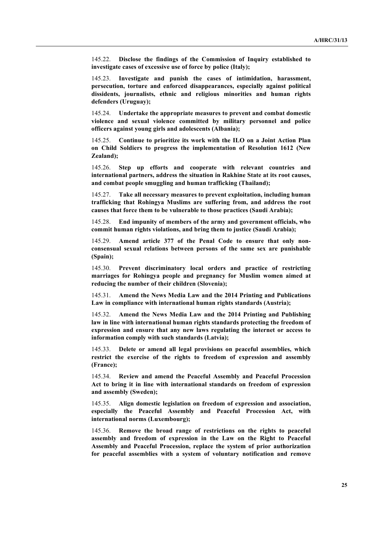145.22. **Disclose the findings of the Commission of Inquiry established to investigate cases of excessive use of force by police (Italy);** 

145.23. **Investigate and punish the cases of intimidation, harassment, persecution, torture and enforced disappearances, especially against political dissidents, journalists, ethnic and religious minorities and human rights defenders (Uruguay);**

145.24. **Undertake the appropriate measures to prevent and combat domestic violence and sexual violence committed by military personnel and police officers against young girls and adolescents (Albania);**

145.25. **Continue to prioritize its work with the ILO on a Joint Action Plan on Child Soldiers to progress the implementation of Resolution 1612 (New Zealand);**

145.26. **Step up efforts and cooperate with relevant countries and international partners, address the situation in Rakhine State at its root causes, and combat people smuggling and human trafficking (Thailand);**

145.27. **Take all necessary measures to prevent exploitation, including human trafficking that Rohingya Muslims are suffering from, and address the root causes that force them to be vulnerable to those practices (Saudi Arabia);**

145.28. **End impunity of members of the army and government officials, who commit human rights violations, and bring them to justice (Saudi Arabia);**

145.29. **Amend article 377 of the Penal Code to ensure that only nonconsensual sexual relations between persons of the same sex are punishable (Spain);**

145.30. **Prevent discriminatory local orders and practice of restricting marriages for Rohingya people and pregnancy for Muslim women aimed at reducing the number of their children (Slovenia);**

145.31. **Amend the News Media Law and the 2014 Printing and Publications Law in compliance with international human rights standards (Austria);**

145.32. **Amend the News Media Law and the 2014 Printing and Publishing law in line with international human rights standards protecting the freedom of expression and ensure that any new laws regulating the internet or access to information comply with such standards (Latvia);**

145.33. **Delete or amend all legal provisions on peaceful assemblies, which restrict the exercise of the rights to freedom of expression and assembly (France);**

145.34. **Review and amend the Peaceful Assembly and Peaceful Procession Act to bring it in line with international standards on freedom of expression and assembly (Sweden);**

145.35. **Align domestic legislation on freedom of expression and association, especially the Peaceful Assembly and Peaceful Procession Act, with international norms (Luxembourg);**

145.36. **Remove the broad range of restrictions on the rights to peaceful assembly and freedom of expression in the Law on the Right to Peaceful Assembly and Peaceful Procession, replace the system of prior authorization for peaceful assemblies with a system of voluntary notification and remove**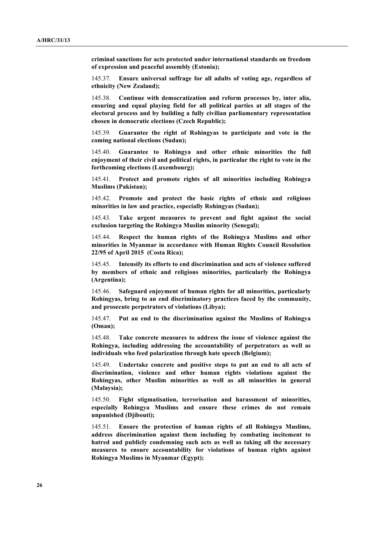**criminal sanctions for acts protected under international standards on freedom of expression and peaceful assembly (Estonia);**

145.37. **Ensure universal suffrage for all adults of voting age, regardless of ethnicity (New Zealand);**

145.38. **Continue with democratization and reform processes by, inter alia, ensuring and equal playing field for all political parties at all stages of the electoral process and by building a fully civilian parliamentary representation chosen in democratic elections (Czech Republic);**

145.39. **Guarantee the right of Rohingyas to participate and vote in the coming national elections (Sudan);**

145.40. **Guarantee to Rohingya and other ethnic minorities the full enjoyment of their civil and political rights, in particular the right to vote in the forthcoming elections (Luxembourg);**

145.41. **Protect and promote rights of all minorities including Rohingya Muslims (Pakistan);**

145.42. **Promote and protect the basic rights of ethnic and religious minorities in law and practice, especially Rohingyas (Sudan);**

145.43. **Take urgent measures to prevent and fight against the social exclusion targeting the Rohingya Muslim minority (Senegal);**

145.44. **Respect the human rights of the Rohingya Muslims and other minorities in Myanmar in accordance with Human Rights Council Resolution 22/95 of April 2015 (Costa Rica);**

145.45. **Intensify its efforts to end discrimination and acts of violence suffered by members of ethnic and religious minorities, particularly the Rohingya (Argentina);**

145.46. **Safeguard enjoyment of human rights for all minorities, particularly Rohingyas, bring to an end discriminatory practices faced by the community, and prosecute perpetrators of violations (Libya);**

145.47. **Put an end to the discrimination against the Muslims of Rohingya (Oman);**

145.48. **Take concrete measures to address the issue of violence against the Rohingya, including addressing the accountability of perpetrators as well as individuals who feed polarization through hate speech (Belgium);**

145.49. **Undertake concrete and positive steps to put an end to all acts of discrimination, violence and other human rights violations against the Rohingyas, other Muslim minorities as well as all minorities in general (Malaysia);**

145.50. **Fight stigmatisation, terrorisation and harassment of minorities, especially Rohingya Muslims and ensure these crimes do not remain unpunished (Djibouti);**

145.51. **Ensure the protection of human rights of all Rohingya Muslims, address discrimination against them including by combating incitement to hatred and publicly condemning such acts as well as taking all the necessary measures to ensure accountability for violations of human rights against Rohingya Muslims in Myanmar (Egypt);**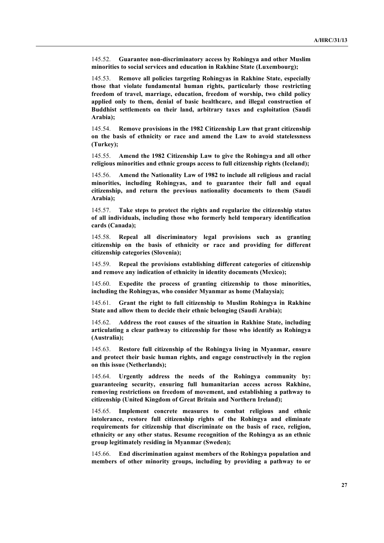145.52. **Guarantee non-discriminatory access by Rohingya and other Muslim minorities to social services and education in Rakhine State (Luxembourg);**

145.53. **Remove all policies targeting Rohingyas in Rakhine State, especially those that violate fundamental human rights, particularly those restricting freedom of travel, marriage, education, freedom of worship, two child policy applied only to them, denial of basic healthcare, and illegal construction of Buddhist settlements on their land, arbitrary taxes and exploitation (Saudi Arabia);**

145.54. **Remove provisions in the 1982 Citizenship Law that grant citizenship on the basis of ethnicity or race and amend the Law to avoid statelessness (Turkey);**

145.55. **Amend the 1982 Citizenship Law to give the Rohingya and all other religious minorities and ethnic groups access to full citizenship rights (Iceland);**

145.56. **Amend the Nationality Law of 1982 to include all religious and racial minorities, including Rohingyas, and to guarantee their full and equal citizenship, and return the previous nationality documents to them (Saudi Arabia);**

145.57. **Take steps to protect the rights and regularize the citizenship status of all individuals, including those who formerly held temporary identification cards (Canada);**

145.58. **Repeal all discriminatory legal provisions such as granting citizenship on the basis of ethnicity or race and providing for different citizenship categories (Slovenia);**

145.59. **Repeal the provisions establishing different categories of citizenship and remove any indication of ethnicity in identity documents (Mexico);**

145.60. **Expedite the process of granting citizenship to those minorities, including the Rohingyas, who consider Myanmar as home (Malaysia);**

145.61. **Grant the right to full citizenship to Muslim Rohingya in Rakhine State and allow them to decide their ethnic belonging (Saudi Arabia);**

145.62. **Address the root causes of the situation in Rakhine State, including articulating a clear pathway to citizenship for those who identify as Rohingya (Australia);**

145.63. **Restore full citizenship of the Rohingya living in Myanmar, ensure and protect their basic human rights, and engage constructively in the region on this issue (Netherlands);**

145.64. **Urgently address the needs of the Rohingya community by: guaranteeing security, ensuring full humanitarian access across Rakhine, removing restrictions on freedom of movement, and establishing a pathway to citizenship (United Kingdom of Great Britain and Northern Ireland);**

145.65. **Implement concrete measures to combat religious and ethnic intolerance, restore full citizenship rights of the Rohingya and eliminate requirements for citizenship that discriminate on the basis of race, religion, ethnicity or any other status. Resume recognition of the Rohingya as an ethnic group legitimately residing in Myanmar (Sweden);**

145.66. **End discrimination against members of the Rohingya population and members of other minority groups, including by providing a pathway to or**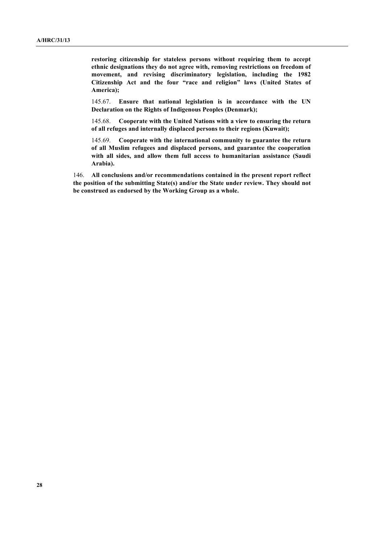**restoring citizenship for stateless persons without requiring them to accept ethnic designations they do not agree with, removing restrictions on freedom of movement, and revising discriminatory legislation, including the 1982 Citizenship Act and the four "race and religion" laws (United States of America);**

145.67. **Ensure that national legislation is in accordance with the UN Declaration on the Rights of Indigenous Peoples (Denmark);**

145.68. **Cooperate with the United Nations with a view to ensuring the return of all refuges and internally displaced persons to their regions (Kuwait);**

145.69. **Cooperate with the international community to guarantee the return of all Muslim refugees and displaced persons, and guarantee the cooperation with all sides, and allow them full access to humanitarian assistance (Saudi Arabia).**

146. **All conclusions and/or recommendations contained in the present report reflect the position of the submitting State(s) and/or the State under review. They should not be construed as endorsed by the Working Group as a whole.**